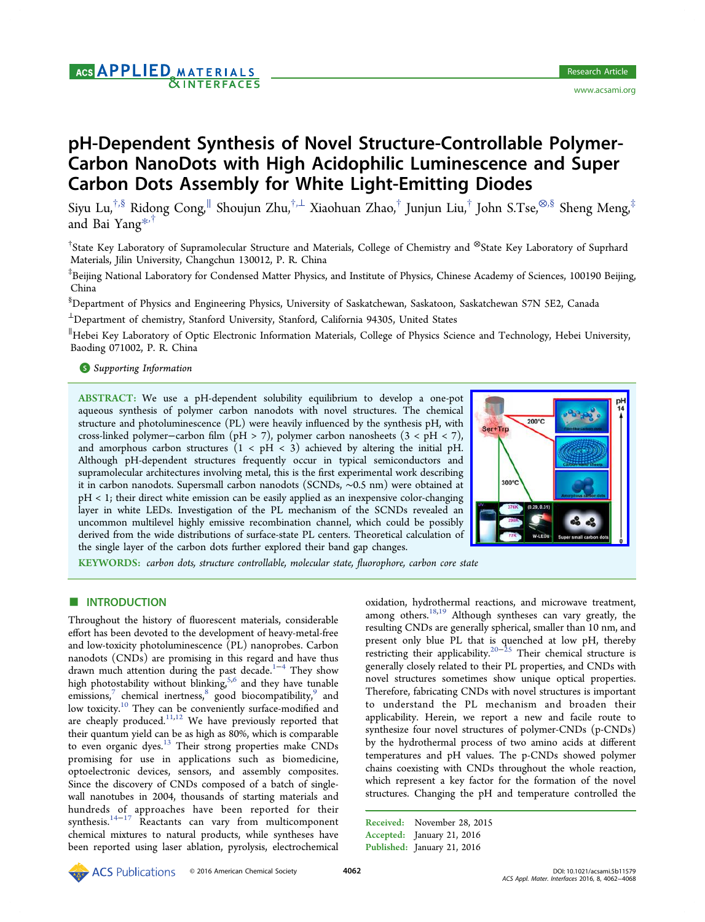# pH-Dependent Synthesis of Novel Structure-Controllable Polymer-Carbon NanoDots with High Acidophilic Luminescence and Super Carbon Dots Assembly for White Light-Emitting Diodes

Siyu Lu,†,§ Ridong Cong,<sup>∥</sup> Shoujun Zhu,†,<sup>⊥</sup> Xiaohuan Zhao,† Junjun Liu,† John S.Tse,⊗,§ Sheng Meng,‡ and Bai Yang\*,†

† State Key Labo[rato](#page-5-0)ry of Supramolecular Structure and Materials, College of Chemistry and <sup>⊗</sup>State Key Laboratory of Suprhard Materials, Jilin University, Changchun 130012, P. R. China

‡ Beijing National Laboratory for Condensed Matter Physics, and Institute of Physics, Chinese Academy of Sciences, 100190 Beijing, China

§ Department of Physics and Engineering Physics, University of Saskatchewan, Saskatoon, Saskatchewan S7N 5E2, Canada

<sup>⊥</sup>Department of chemistry, Stanford University, Stanford, California 94305, United States

∥ Hebei Key Laboratory of Optic Electronic Information Materials, College of Physics Science and Technology, Hebei University, Baoding 071002, P. R. China

## **S** Supporting Information

[AB](#page-5-0)STRACT: [We use a p](#page-5-0)H-dependent solubility equilibrium to develop a one-pot aqueous synthesis of polymer carbon nanodots with novel structures. The chemical structure and photoluminescence (PL) were heavily influenced by the synthesis pH, with cross-linked polymer−carbon film (pH > 7), polymer carbon nanosheets (3 < pH < 7), and amorphous carbon structures  $(1 < pH < 3)$  achieved by altering the initial pH. Although pH-dependent structures frequently occur in typical semiconductors and supramolecular architectures involving metal, this is the first experimental work describing it in carbon nanodots. Supersmall carbon nanodots (SCNDs, ∼0.5 nm) were obtained at pH < 1; their direct white emission can be easily applied as an inexpensive color-changing layer in white LEDs. Investigation of the PL mechanism of the SCNDs revealed an uncommon multilevel highly emissive recombination channel, which could be possibly derived from the wide distributions of surface-state PL centers. Theoretical calculation of the single layer of the carbon dots further explored their band gap changes.



KEYWORDS: carbon dots, structure controllable, molecular state, fluorophore, carbon core sta[te](http://pubsdc3.acs.org/action/showImage?doi=10.1021/acsami.5b11579&iName=master.img-000.jpg&w=134&h=133)

## **ENTRODUCTION**

Throughout the history of fluorescent materials, considerable effort has been devoted to the development of heavy-metal-free and low-toxicity photoluminescence (PL) nanoprobes. Carbon nanodots (CNDs) are promising in this regard and have thus drawn much attention during the past decade.<sup>1−4</sup> They show high photostability without blinking,<sup>5,6</sup> and they have tunable emissions,<sup>7</sup> chemical inertness,<sup>8</sup> good bioco[mpat](#page-5-0)ibility,<sup>9</sup> and low toxicity.<sup>10</sup> They can be conveni[ent](#page-5-0)ly surface-modified and are cheap[ly](#page-5-0) produced.<sup>11,12</sup> We [h](#page-5-0)ave previously reporte[d](#page-5-0) that their quantu[m](#page-5-0) yield can be as high as 80%, which is comparable to even organic dyes.<sup>[13](#page-5-0)</sup> [T](#page-5-0)heir strong properties make CNDs promising for use in applications such as biomedicine, optoelectronic devic[es,](#page-6-0) sensors, and assembly composites. Since the discovery of CNDs composed of a batch of singlewall nanotubes in 2004, thousands of starting materials and hundreds of approaches have been reported for their synthesis.<sup>14−17</sup> Reactants can vary from multicomponent chemical mixtures to natural products, while syntheses have been rep[orted](#page-6-0) using laser ablation, pyrolysis, electrochemical oxidation, hydrothermal reactions, and microwave treatment, among others.<sup>18,19</sup> Although syntheses can vary greatly, the resulting CNDs are generally spherical, smaller than 10 nm, and present only [blue](#page-6-0) PL that is quenched at low pH, thereby restricting their applicability.20−<sup>25</sup> Their chemical structure is generally closely related to their PL properties, and CNDs with novel structures sometimes [show](#page-6-0) unique optical properties. Therefore, fabricating CNDs with novel structures is important to understand the PL mechanism and broaden their applicability. Herein, we report a new and facile route to synthesize four novel structures of polymer-CNDs (p-CNDs) by the hydrothermal process of two amino acids at different temperatures and pH values. The p-CNDs showed polymer chains coexisting with CNDs throughout the whole reaction, which represent a key factor for the formation of the novel structures. Changing the pH and temperature controlled the

Received: November 28, 2015 Accepted: January 21, 2016 Published: January 21, 2016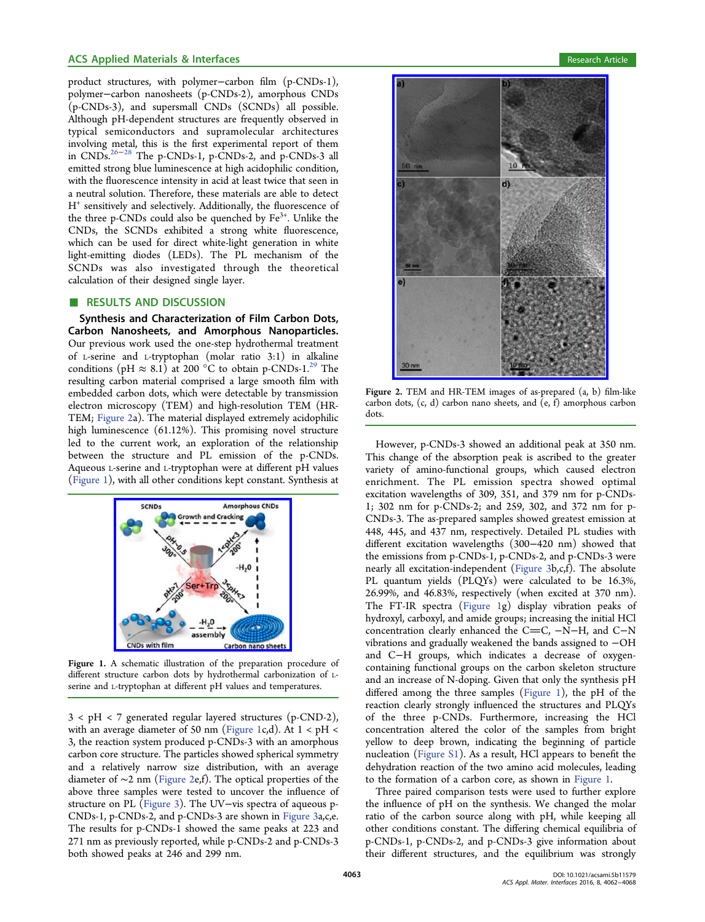<span id="page-1-0"></span>product structures, with polymer−carbon film (p-CNDs-1), polymer−carbon nanosheets (p-CNDs-2), amorphous CNDs (p-CNDs-3), and supersmall CNDs (SCNDs) all possible. Although pH-dependent structures are frequently observed in typical semiconductors and supramolecular architectures involving metal, this is the first experimental report of them in CNDs.26−<sup>28</sup> The p-CNDs-1, p-CNDs-2, and p-CNDs-3 all emitted strong blue luminescence at high acidophilic condition, with the fl[uores](#page-6-0)cence intensity in acid at least twice that seen in a neutral solution. Therefore, these materials are able to detect H+ sensitively and selectively. Additionally, the fluorescence of the three p-CNDs could also be quenched by  $Fe<sup>3+</sup>$ . Unlike the CNDs, the SCNDs exhibited a strong white fluorescence, which can be used for direct white-light generation in white light-emitting diodes (LEDs). The PL mechanism of the SCNDs was also investigated through the theoretical calculation of their designed single layer.

### ■ RESULTS AND DISCUSSION

Synthesis and Characterization of Film Carbon Dots, Carbon Nanosheets, and Amorphous Nanoparticles. Our previous work used the one-step hydrothermal treatment of L-serine and L-tryptophan (molar ratio 3:1) in alkaline conditions (pH  $\approx 8.1$ ) at 200 °C to obtain p-CNDs-1.<sup>29</sup> The resulting carbon material comprised a large smooth film with embedded carbon dots, which were detectable by trans[mis](#page-6-0)sion electron microscopy (TEM) and high-resolution TEM (HR-TEM; Figure 2a). The material displayed extremely acidophilic high luminescence (61.12%). This promising novel structure led to the current work, an exploration of the relationship between the structure and PL emission of the p-CNDs. Aqueous L-serine and L-tryptophan were at different pH values (Figure 1), with all other conditions kept constant. Synthesis at



Figure 1. A [schematic illustration of the preparation p](http://pubsdc3.acs.org/action/showImage?doi=10.1021/acsami.5b11579&iName=master.img-001.jpg&w=152&h=130)rocedure of different structure carbon dots by hydrothermal carbonization of Lserine and L-tryptophan at different pH values and temperatures.

3 < pH < 7 generated regular layered structures (p-CND-2), with an average diameter of 50 nm (Figure 1c,d). At  $1 < pH <$ 3, the reaction system produced p-CNDs-3 with an amorphous carbon core structure. The particles showed spherical symmetry and a relatively narrow size distribution, with an average diameter of ∼2 nm (Figure 2e,f). The optical properties of the above three samples were tested to uncover the influence of structure on PL (Figure 3). The UV−vis spectra of aqueous p-CNDs-1, p-CNDs-2, and p-CNDs-3 are shown in Figure 3a,c,e. The results for p[-CNDs-1](#page-2-0) showed the same peaks at 223 and 271 nm as previously reported, while p-CNDs-2 a[nd p-CN](#page-2-0)Ds-3 both showed peaks at 246 and 299 nm.



Figure 2. [TEM and HR-TEM images of as-prepared \(a, b\)](http://pubsdc3.acs.org/action/showImage?doi=10.1021/acsami.5b11579&iName=master.img-002.jpg&w=186&h=265) film-like carbon dots, (c, d) carbon nano sheets, and (e, f) amorphous carbon dots.

However, p-CNDs-3 showed an additional peak at 350 nm. This change of the absorption peak is ascribed to the greater variety of amino-functional groups, which caused electron enrichment. The PL emission spectra showed optimal excitation wavelengths of 309, 351, and 379 nm for p-CNDs-1; 302 nm for p-CNDs-2; and 259, 302, and 372 nm for p-CNDs-3. The as-prepared samples showed greatest emission at 448, 445, and 437 nm, respectively. Detailed PL studies with different excitation wavelengths (300−420 nm) showed that the emissions from p-CNDs-1, p-CNDs-2, and p-CNDs-3 were nearly all excitation-independent (Figure 3b,c,f). The absolute PL quantum yields (PLQYs) were calculated to be 16.3%, 26.99%, and 46.83%, respectively [\(when e](#page-2-0)xcited at 370 nm). The FT-IR spectra (Figure 1g) display vibration peaks of hydroxyl, carboxyl, and amide groups; increasing the initial HCl concentration clearly enhanced the C=C, -N-H, and C-N vibrations and gradually weakened the bands assigned to −OH and C−H groups, which indicates a decrease of oxygencontaining functional groups on the carbon skeleton structure and an increase of N-doping. Given that only the synthesis pH differed among the three samples (Figure 1), the pH of the reaction clearly strongly influenced the structures and PLQYs of the three p-CNDs. Furthermore, increasing the HCl concentration altered the color of the samples from bright yellow to deep brown, indicating the beginning of particle nucleation (Figure S1). As a result, HCl appears to benefit the dehydration reaction of the two amino acid molecules, leading to the form[ation of a](http://pubs.acs.org/doi/suppl/10.1021/acsami.5b11579/suppl_file/am5b11579_si_001.pdf) carbon core, as shown in Figure 1.

Three paired comparison tests were used to further explore the influence of pH on the synthesis. We changed the molar ratio of the carbon source along with pH, while keeping all other conditions constant. The differing chemical equilibria of p-CNDs-1, p-CNDs-2, and p-CNDs-3 give information about their different structures, and the equilibrium was strongly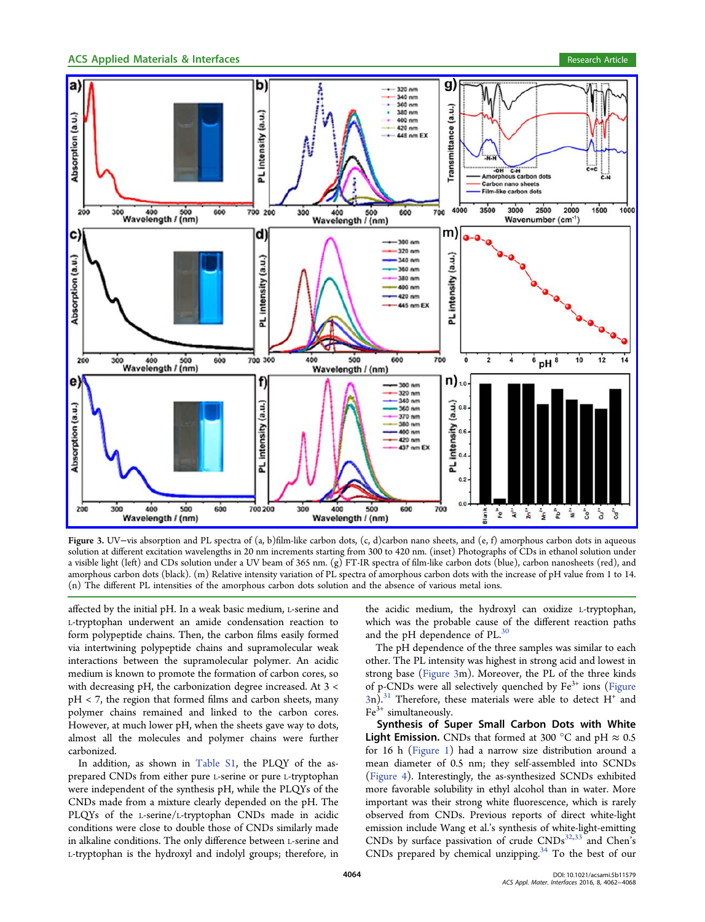<span id="page-2-0"></span>

Figure 3. UV−vis absorption and PL spectra of (a, b)film-like carbon dots, (c, d)carbon nano sheets, and (e, f) amorphous carbon dots in aqueous solution at diff[erent excitation wavelengths in 20 nm increments starting from 300 to 420 nm. \(inset\) Photographs of CDs in ethanol solution under](http://pubsdc3.acs.org/action/showImage?doi=10.1021/acsami.5b11579&iName=master.img-003.jpg&w=502&h=397) a visible light (left) and CDs solution under a UV beam of 365 nm. (g) FT-IR spectra of film-like carbon dots (blue), carbon nanosheets (red), and amorphous carbon dots (black). (m) Relative intensity variation of PL spectra of amorphous carbon dots with the increase of pH value from 1 to 14. (n) The different PL intensities of the amorphous carbon dots solution and the absence of various metal ions.

affected by the initial pH. In a weak basic medium, L-serine and L-tryptophan underwent an amide condensation reaction to form polypeptide chains. Then, the carbon films easily formed via intertwining polypeptide chains and supramolecular weak interactions between the supramolecular polymer. An acidic medium is known to promote the formation of carbon cores, so with decreasing pH, the carbonization degree increased. At 3 < pH < 7, the region that formed films and carbon sheets, many polymer chains remained and linked to the carbon cores. However, at much lower pH, when the sheets gave way to dots, almost all the molecules and polymer chains were further carbonized.

In addition, as shown in Table S1, the PLQY of the asprepared CNDs from either pure L-serine or pure L-tryptophan were independent of the synt[hesis pH,](http://pubs.acs.org/doi/suppl/10.1021/acsami.5b11579/suppl_file/am5b11579_si_001.pdf) while the PLQYs of the CNDs made from a mixture clearly depended on the pH. The PLQYs of the L-serine/L-tryptophan CNDs made in acidic conditions were close to double those of CNDs similarly made in alkaline conditions. The only difference between L-serine and L-tryptophan is the hydroxyl and indolyl groups; therefore, in

the acidic medium, the hydroxyl can oxidize L-tryptophan, which was the probable cause of the different reaction paths and the pH dependence of PL.<sup>30</sup>

The pH dependence of the three samples was similar to each other. The PL intensity was hig[hes](#page-6-0)t in strong acid and lowest in strong base (Figure 3m). Moreover, the PL of the three kinds of p-CNDs were all selectively quenched by  $Fe<sup>3+</sup>$  ions (Figure  $3n$ .<sup>31</sup> Therefore, these materials were able to detect H<sup>+</sup> and  $Fe<sup>3+</sup>$  simultaneously.

S[yn](#page-6-0)thesis of Super Small Carbon Dots with White **Light Emission.** CNDs that formed at 300 °C and pH  $\approx 0.5$ for 16 h (Figure 1) had a narrow size distribution around a mean diameter of 0.5 nm; they self-assembled into SCNDs (Figure 4)[. Interest](#page-1-0)ingly, the as-synthesized SCNDs exhibited more favorable solubility in ethyl alcohol than in water. More i[mportant](#page-3-0) was their strong white fluorescence, which is rarely observed from CNDs. Previous reports of direct white-light emission include Wang et al.'s synthesis of white-light-emitting CNDs by surface passivation of crude  $CNDs^{32,33}$  and Chen's CNDs prepared by chemical unzipping. $34$  To the best of our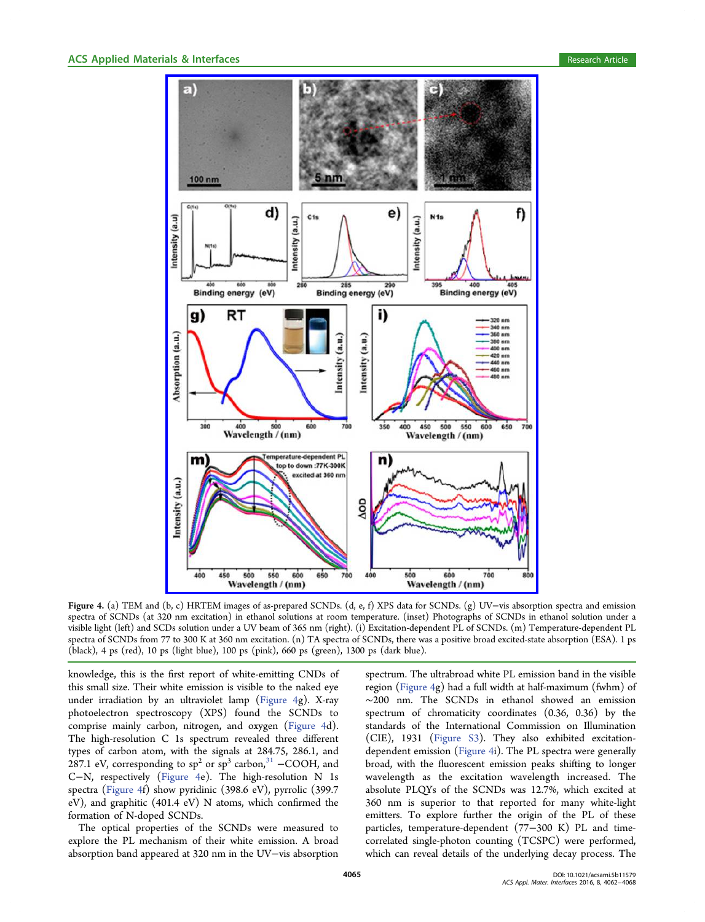<span id="page-3-0"></span>

Figure 4. (a) TEM and ([b, c\) HRTEM images of as-prepared SCNDs. \(d, e, f\) XPS data for SCNDs. \(g\) UV](http://pubsdc3.acs.org/action/showImage?doi=10.1021/acsami.5b11579&iName=master.img-004.jpg&w=325&h=455)−vis absorption spectra and emission spectra of SCNDs (at 320 nm excitation) in ethanol solutions at room temperature. (inset) Photographs of SCNDs in ethanol solution under a visible light (left) and SCDs solution under a UV beam of 365 nm (right). (i) Excitation-dependent PL of SCNDs. (m) Temperature-dependent PL spectra of SCNDs from 77 to 300 K at 360 nm excitation. (n) TA spectra of SCNDs, there was a positive broad excited-state absorption (ESA). 1 ps (black), 4 ps (red), 10 ps (light blue), 100 ps (pink), 660 ps (green), 1300 ps (dark blue).

knowledge, this is the first report of white-emitting CNDs of this small size. Their white emission is visible to the naked eye under irradiation by an ultraviolet lamp (Figure 4g). X-ray photoelectron spectroscopy (XPS) found the SCNDs to comprise mainly carbon, nitrogen, and oxygen (Figure 4d). The high-resolution C 1s spectrum revealed three different types of carbon atom, with the signals at 284.75, 286.1, and 287.1 eV, corresponding to  $sp^2$  or  $sp^3$  carbon,<sup>31</sup> −COOH, and C−N, respectively (Figure 4e). The high-resolution N 1s spectra (Figure 4f) show pyridinic (398.6 eV[\),](#page-6-0) pyrrolic (399.7 eV), and graphitic (401.4 eV) N atoms, which confirmed the formation of N-doped SCNDs.

The optical properties of the SCNDs were measured to explore the PL mechanism of their white emission. A broad absorption band appeared at 320 nm in the UV−vis absorption spectrum. The ultrabroad white PL emission band in the visible region (Figure 4g) had a full width at half-maximum (fwhm) of ∼200 nm. The SCNDs in ethanol showed an emission spectrum of chromaticity coordinates (0.36, 0.36) by the standards of the International Commission on Illumination (CIE), 1931 (Figure S3). They also exhibited excitationdependent emission (Figure 4i). The PL spectra were generally broad, with the fl[uorescen](http://pubs.acs.org/doi/suppl/10.1021/acsami.5b11579/suppl_file/am5b11579_si_001.pdf)t emission peaks shifting to longer wavelength as the excitation wavelength increased. The absolute PLQYs of the SCNDs was 12.7%, which excited at 360 nm is superior to that reported for many white-light emitters. To explore further the origin of the PL of these particles, temperature-dependent (77−300 K) PL and timecorrelated single-photon counting (TCSPC) were performed, which can reveal details of the underlying decay process. The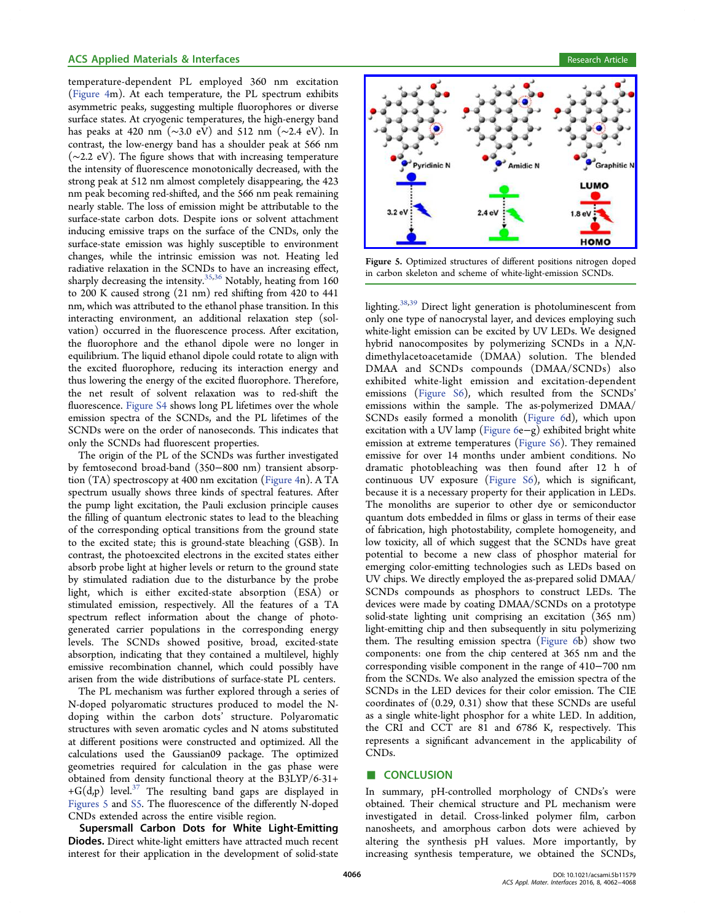temperature-dependent PL employed 360 nm excitation (Figure 4m). At each temperature, the PL spectrum exhibits asymmetric peaks, suggesting multiple fluorophores or diverse s[urface sta](#page-3-0)tes. At cryogenic temperatures, the high-energy band has peaks at 420 nm (∼3.0 eV) and 512 nm (∼2.4 eV). In contrast, the low-energy band has a shoulder peak at 566 nm (∼2.2 eV). The figure shows that with increasing temperature the intensity of fluorescence monotonically decreased, with the strong peak at 512 nm almost completely disappearing, the 423 nm peak becoming red-shifted, and the 566 nm peak remaining nearly stable. The loss of emission might be attributable to the surface-state carbon dots. Despite ions or solvent attachment inducing emissive traps on the surface of the CNDs, only the surface-state emission was highly susceptible to environment changes, while the intrinsic emission was not. Heating led radiative relaxation in the SCNDs to have an increasing effect, sharply decreasing the intensity. $35,36$  Notably, heating from 160 to 200 K caused strong (21 nm) red shifting from 420 to 441 nm, which was attributed to the [etha](#page-6-0)nol phase transition. In this interacting environment, an additional relaxation step (solvation) occurred in the fluorescence process. After excitation, the fluorophore and the ethanol dipole were no longer in equilibrium. The liquid ethanol dipole could rotate to align with the excited fluorophore, reducing its interaction energy and thus lowering the energy of the excited fluorophore. Therefore, the net result of solvent relaxation was to red-shift the fluorescence. Figure S4 shows long PL lifetimes over the whole emission spectra of the SCNDs, and the PL lifetimes of the SCNDs were [on the or](http://pubs.acs.org/doi/suppl/10.1021/acsami.5b11579/suppl_file/am5b11579_si_001.pdf)der of nanoseconds. This indicates that only the SCNDs had fluorescent properties.

The origin of the PL of the SCNDs was further investigated by femtosecond broad-band (350−800 nm) transient absorption (TA) spectroscopy at 400 nm excitation (Figure 4n). A TA spectrum usually shows three kinds of spectral features. After the pump light excitation, the Pauli exclusio[n princip](#page-3-0)le causes the filling of quantum electronic states to lead to the bleaching of the corresponding optical transitions from the ground state to the excited state; this is ground-state bleaching (GSB). In contrast, the photoexcited electrons in the excited states either absorb probe light at higher levels or return to the ground state by stimulated radiation due to the disturbance by the probe light, which is either excited-state absorption (ESA) or stimulated emission, respectively. All the features of a TA spectrum reflect information about the change of photogenerated carrier populations in the corresponding energy levels. The SCNDs showed positive, broad, excited-state absorption, indicating that they contained a multilevel, highly emissive recombination channel, which could possibly have arisen from the wide distributions of surface-state PL centers.

The PL mechanism was further explored through a series of N-doped polyaromatic structures produced to model the Ndoping within the carbon dots' structure. Polyaromatic structures with seven aromatic cycles and N atoms substituted at different positions were constructed and optimized. All the calculations used the Gaussian09 package. The optimized geometries required for calculation in the gas phase were obtained from density functional theory at the B3LYP/6-31+ +G(d,p) level.<sup>37</sup> The resulting band gaps are displayed in Figures 5 and S5. The fluorescence of the differently N-doped CNDs extend[ed](#page-6-0) across the entire visible region.

Supersmal[l C](http://pubs.acs.org/doi/suppl/10.1021/acsami.5b11579/suppl_file/am5b11579_si_001.pdf)arbon Dots for White Light-Emitting Diodes. Direct white-light emitters have attracted much recent interest for their application in the development of solid-state



Figure 5. Optimized structures of different positions nitrogen doped [in carbon skeleton and scheme of white-light-emission SCNDs.](http://pubsdc3.acs.org/action/showImage?doi=10.1021/acsami.5b11579&iName=master.img-005.jpg&w=237&h=149)

lighting.<sup>38,39</sup> Direct light generation is photoluminescent from only one type of nanocrystal layer, and devices employing such white-li[ght e](#page-6-0)mission can be excited by UV LEDs. We designed hybrid nanocomposites by polymerizing SCNDs in a N,Ndimethylacetoacetamide (DMAA) solution. The blended DMAA and SCNDs compounds (DMAA/SCNDs) also exhibited white-light emission and excitation-dependent emissions (Figure S6), which resulted from the SCNDs' emissions within the sample. The as-polymerized DMAA/ SCNDs eas[ily formed](http://pubs.acs.org/doi/suppl/10.1021/acsami.5b11579/suppl_file/am5b11579_si_001.pdf) a monolith (Figure 6d), which upon excitation with a UV lamp (Figure 6e−g) exhibited bright white emission at extreme temperatures (F[igure S6\).](#page-5-0) They remained emissive for over 14 mon[ths unde](#page-5-0)r ambient conditions. No dramatic photobleaching was th[en found](http://pubs.acs.org/doi/suppl/10.1021/acsami.5b11579/suppl_file/am5b11579_si_001.pdf) after 12 h of continuous UV exposure (Figure S6), which is significant, because it is a necessary property for their application in LEDs. The monoliths are superio[r to other](http://pubs.acs.org/doi/suppl/10.1021/acsami.5b11579/suppl_file/am5b11579_si_001.pdf) dye or semiconductor quantum dots embedded in films or glass in terms of their ease of fabrication, high photostability, complete homogeneity, and low toxicity, all of which suggest that the SCNDs have great potential to become a new class of phosphor material for emerging color-emitting technologies such as LEDs based on UV chips. We directly employed the as-prepared solid DMAA/ SCNDs compounds as phosphors to construct LEDs. The devices were made by coating DMAA/SCNDs on a prototype solid-state lighting unit comprising an excitation (365 nm) light-emitting chip and then subsequently in situ polymerizing them. The resulting emission spectra (Figure 6b) show two components: one from the chip centered at 365 nm and the corresponding visible component in the [range of](#page-5-0) 410−700 nm from the SCNDs. We also analyzed the emission spectra of the SCNDs in the LED devices for their color emission. The CIE coordinates of (0.29, 0.31) show that these SCNDs are useful as a single white-light phosphor for a white LED. In addition, the CRI and CCT are 81 and 6786 K, respectively. This represents a significant advancement in the applicability of CNDs.

#### ■ CONCLUSION

In summary, pH-controlled morphology of CNDs's were obtained. Their chemical structure and PL mechanism were investigated in detail. Cross-linked polymer film, carbon nanosheets, and amorphous carbon dots were achieved by altering the synthesis pH values. More importantly, by increasing synthesis temperature, we obtained the SCNDs,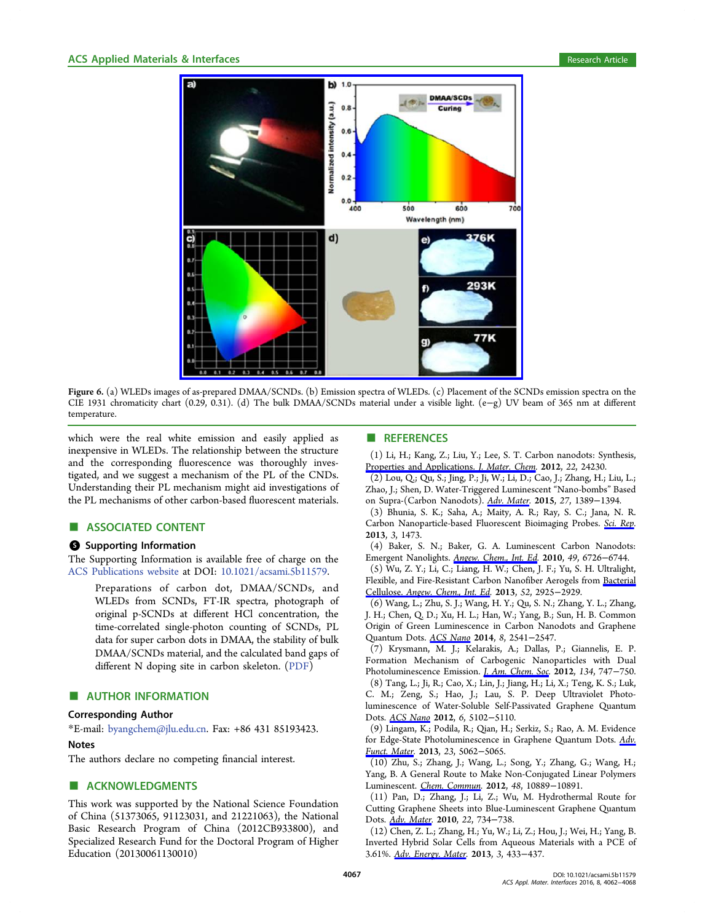<span id="page-5-0"></span>

Figure 6. (a) WLEDs images [of as-prepared DMAA/SCNDs. \(b\) Emission spectra of WLEDs. \(c\) Placement of the SC](http://pubsdc3.acs.org/action/showImage?doi=10.1021/acsami.5b11579&iName=master.img-006.jpg&w=299&h=265)NDs emission spectra on the CIE 1931 chromaticity chart (0.29, 0.31). (d) The bulk DMAA/SCNDs material under a visible light. (e−g) UV beam of 365 nm at different temperature.

which were the real white emission and easily applied as inexpensive in WLEDs. The relationship between the structure and the corresponding fluorescence was thoroughly investigated, and we suggest a mechanism of the PL of the CNDs. Understanding their PL mechanism might aid investigations of the PL mechanisms of other carbon-based fluorescent materials.

## ■ ASSOCIATED CONTENT

#### S Supporting Information

The Supporting Information is available free of charge on the ACS Publications website at DOI: 10.1021/acsami.5b11579.

Preparations of carbon dot, DMAA/SCNDs, and [WLEDs from SCN](http://pubs.acs.org)Ds, FT-[IR spectra, photograph](http://pubs.acs.org/doi/abs/10.1021/acsami.5b11579) of original p-SCNDs at different HCl concentration, the time-correlated single-photon counting of SCNDs, PL data for super carbon dots in DMAA, the stability of bulk DMAA/SCNDs material, and the calculated band gaps of different N doping site in carbon skeleton. (PDF)

### **E** AUTHOR INFORMATION

#### Corresponding Author

\*E-mail: byangchem@jlu.edu.cn. Fax: +86 431 85193423.

#### Notes

The auth[ors declare no competi](mailto:byangchem@jlu.edu.cn)ng financial interest.

## ■ ACKNOWLEDGMENTS

This work was supported by the National Science Foundation of China (51373065, 91123031, and 21221063), the National Basic Research Program of China (2012CB933800), and Specialized Research Fund for the Doctoral Program of Higher Education (20130061130010)

## ■ REFERENCES

(1) Li, H.; Kang, Z.; Liu, Y.; Lee, S. T. Carbon nanodots: Synthesis, Properties and Applications. *J. Mater. Chem.* 2012, 22, 24230.

(2) Lou, Q.; Qu, S.; Jing, P.; Ji, W.; Li, D.; Cao, J.; Zhang, H.; Liu, L.; [Zhao, J.; Shen, D. Water-Triggered Luminesc](http://pubs.acs.org/action/showLinks?crossref=10.1039%2Fc2jm34690g&coi=1%3ACAS%3A528%3ADC%252BC38Xhs1ajsrrO)ent "Nano-bombs" Based on Supra-(Carbon Nanodots). Adv. Mater. 2015, 27, 1389−1394.

(3) Bhunia, S. K.; Saha, A.; Maity, A. R.; Ray, S. C.; Jana, N. R. Carbon Nanoparticle-based Fl[uorescent B](http://pubs.acs.org/action/showLinks?pmid=25447963&crossref=10.1002%2Fadma.201403635&coi=1%3ACAS%3A528%3ADC%252BC2cXitVWhtr7L)ioimaging Probes. Sci. Rep. 2013, 3, 1473.

(4) Baker, S. N.; Baker, G. A. Luminescent Carbon N[anodots:](http://pubs.acs.org/action/showLinks?pmid=23502324&crossref=10.1038%2Fsrep01473&coi=1%3ACAS%3A528%3ADC%252BC3sXpvFKjsb8%253D) Emergent Nanolights. Angew. Chem., Int. Ed. 2010, 49, 6726−6744.

(5) Wu, Z. Y.; Li, C.; Liang, H. W.; Chen, J. F.; Yu, S. H. Ultralight, Flexible, and Fire-Resi[stant Carbon Nanofibe](http://pubs.acs.org/action/showLinks?pmid=20687055&crossref=10.1002%2Fanie.200906623&coi=1%3ACAS%3A528%3ADC%252BC3cXhtFGnsbnI)r Aerogels from Bacterial Cellulose. Angew. Chem., Int. Ed. 2013, 52, 2925−2929.

(6) Wang, L.; Zhu, S. J.; Wang, H. Y.; Qu, S. N.; Zhang, Y. L.; Zhang, J. H.; Chen, Q. D.; Xu, H. L.; Han, W.; Yang, B.; Sun, H. B. [Common](http://pubs.acs.org/action/showLinks?pmid=23401382&crossref=10.1002%2Fanie.201209676&coi=1%3ACAS%3A528%3ADC%252BC3sXitlartbo%253D) [Origin](http://pubs.acs.org/action/showLinks?pmid=23401382&crossref=10.1002%2Fanie.201209676&coi=1%3ACAS%3A528%3ADC%252BC3sXitlartbo%253D) [of](http://pubs.acs.org/action/showLinks?pmid=23401382&crossref=10.1002%2Fanie.201209676&coi=1%3ACAS%3A528%3ADC%252BC3sXitlartbo%253D) [Green](http://pubs.acs.org/action/showLinks?pmid=23401382&crossref=10.1002%2Fanie.201209676&coi=1%3ACAS%3A528%3ADC%252BC3sXitlartbo%253D) [Luminescence](http://pubs.acs.org/action/showLinks?pmid=23401382&crossref=10.1002%2Fanie.201209676&coi=1%3ACAS%3A528%3ADC%252BC3sXitlartbo%253D) in Carbon Nanodots and Graphene Quantum Dots. ACS Nano 2014, 8, 2541-2547.

(7) Krysmann, M. J.; Kelarakis, A.; Dallas, P.; Giannelis, E. P. Formation Me[chanism o](http://pubs.acs.org/action/showLinks?system=10.1021%2Fnn500368m&pmid=24517361&coi=1%3ACAS%3A528%3ADC%252BC2cXisVWitLg%253D)f Carbogenic Nanoparticles with Dual Photoluminescence Emission. J. Am. Chem. Soc. 2012, 134, 747−750. (8) Tang, L.; Ji, R.; Cao, X.; Lin, J.; Jiang, H.; Li, X.; Teng, K. S.; Luk, C. M.; Zeng, S.; Hao, J.; Lau, S. P. Deep Ultraviolet Photoluminescence of Water-Solub[le](http://pubs.acs.org/action/showLinks?system=10.1021%2Fja204661r&pmid=22201260&coi=1%3ACAS%3A528%3ADC%252BC3MXhs1Oju7zK) [Self-Passivated](http://pubs.acs.org/action/showLinks?system=10.1021%2Fja204661r&pmid=22201260&coi=1%3ACAS%3A528%3ADC%252BC3MXhs1Oju7zK) Graphene Quantum Dots. ACS Nano 2012, 6, 5102-5110.

(9) Lingam, K.; Podila, R.; Qian, H.; Serkiz, S.; Rao, A. M. Evidence for E[dge-State Ph](http://pubs.acs.org/action/showLinks?system=10.1021%2Fnn300760g&pmid=22559247&coi=1%3ACAS%3A528%3ADC%252BC38XmsFGjtb8%253D)otoluminescence in Graphene Quantum Dots. Adv. Funct. Mater. 2013, 23, 5062−5065.

(10) Zhu, S.; Zhang, J.; Wang, L.; Song, Y.; Zhang, G.; Wang[, H.;](http://pubs.acs.org/action/showLinks?crossref=10.1002%2Fadfm.201203441&coi=1%3ACAS%3A528%3ADC%252BC3sXnsFGntL4%253D) [Yang, B. A G](http://pubs.acs.org/action/showLinks?crossref=10.1002%2Fadfm.201203441&coi=1%3ACAS%3A528%3ADC%252BC3sXnsFGntL4%253D)eneral Route to Make Non-Conjugated Linear Polymers Luminescent. Chem. Commun. 2012, 48, 10889−10891.

(11) Pan, D.; Zhang, J.; Li, Z.; Wu, M. Hydrothermal Route for Cutting Grap[hene Sheets into](http://pubs.acs.org/action/showLinks?pmid=23032967&crossref=10.1039%2Fc2cc36080b&coi=1%3ACAS%3A528%3ADC%252BC38XhsVyhs7jM) Blue-Luminescent Graphene Quantum Dots. *Adv. Mater.* 2010, 22, 734–738.

(12) Chen, Z. L.; Zhang, H.; Yu, W.; Li, Z.; Hou, J.; Wei, H.; Yang, B. Invert[ed Hybrid](http://pubs.acs.org/action/showLinks?pmid=20217780&crossref=10.1002%2Fadma.200902825&coi=1%3ACAS%3A528%3ADC%252BC3cXitVShur4%253D) Solar Cells from Aqueous Materials with a PCE of 3.61%. Adv. Energy. Mater. 2013, 3, 433−437.